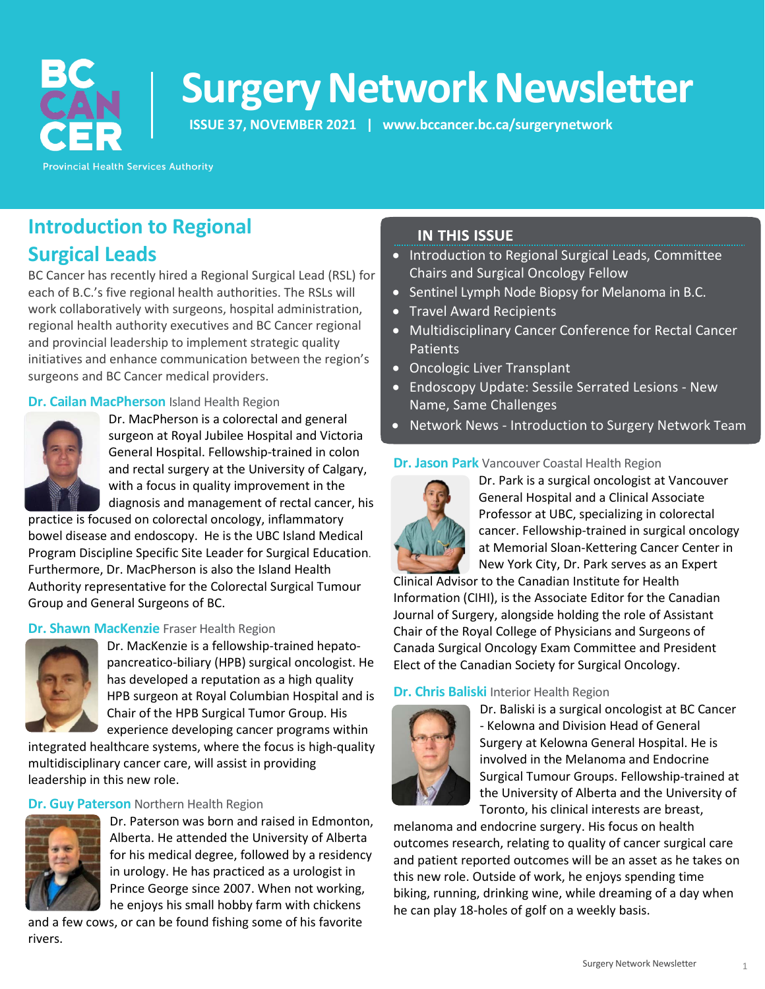

# **Surgery Network Newsletter**

**ISSUE 37, NOVEMBER 2021 | [www.bccancer.bc.ca/surgerynetwork](http://www.bccancer.bc.ca/surgerynetwork)**

**Provincial Health Services Authority** 

# **Introduction to Regional Surgical Leads**

BC Cancer has recently hired a Regional Surgical Lead (RSL) for each of B.C.'s five regional health authorities. The RSLs will work collaboratively with surgeons, hospital administration, regional health authority executives and BC Cancer regional and provincial leadership to implement strategic quality initiatives and enhance communication between the region's surgeons and BC Cancer medical providers.

#### **Dr. Cailan MacPherson** Island Health Region



Dr. MacPherson is a colorectal and general surgeon at Royal Jubilee Hospital and Victoria General Hospital. Fellowship-trained in colon and rectal surgery at the University of Calgary, with a focus in quality improvement in the diagnosis and management of rectal cancer, his

practice is focused on colorectal oncology, inflammatory bowel disease and endoscopy. He is the UBC Island Medical Program Discipline Specific Site Leader for Surgical Education. Furthermore, Dr. MacPherson is also the Island Health Authority representative for the Colorectal Surgical Tumour

#### **Dr. Shawn MacKenzie** Fraser Health Region

Group and General Surgeons of BC.



Dr. MacKenzie is a fellowship-trained hepatopancreatico-biliary (HPB) surgical oncologist. He has developed a reputation as a high quality HPB surgeon at Royal Columbian Hospital and is Chair of the HPB Surgical Tumor Group. His experience developing cancer programs within

integrated healthcare systems, where the focus is high-quality multidisciplinary cancer care, will assist in providing leadership in this new role.

#### **Dr. Guy Paterson** Northern Health Region



Dr. Paterson was born and raised in Edmonton, Alberta. He attended the University of Alberta for his medical degree, followed by a residency in urology. He has practiced as a urologist in Prince George since 2007. When not working, he enjoys his small hobby farm with chickens

and a few cows, or can be found fishing some of his favorite rivers.

### **IN THIS ISSUE**

- Introduction to Regional Surgical Leads, Committee Chairs and Surgical Oncology Fellow
- Sentinel Lymph Node Biopsy for Melanoma in B.C.
- Travel Award Recipients
- Multidisciplinary Cancer Conference for Rectal Cancer Patients
- Oncologic Liver Transplant
- Endoscopy Update: Sessile Serrated Lesions New Name, Same Challenges
- Network News Introduction to Surgery Network Team

#### **Dr. Jason Park** Vancouver Coastal Health Region



Dr. Park is a surgical oncologist at Vancouver General Hospital and a Clinical Associate Professor at UBC, specializing in colorectal cancer. Fellowship-trained in surgical oncology at Memorial Sloan-Kettering Cancer Center in New York City, Dr. Park serves as an Expert

Clinical Advisor to the Canadian Institute for Health Information (CIHI), is the Associate Editor for the Canadian Journal of Surgery, alongside holding the role of Assistant Chair of the Royal College of Physicians and Surgeons of Canada Surgical Oncology Exam Committee and President Elect of the Canadian Society for Surgical Oncology.

#### **Dr. Chris Baliski** Interior Health Region



Dr. Baliski is a surgical oncologist at BC Cancer - Kelowna and Division Head of General Surgery at Kelowna General Hospital. He is involved in the Melanoma and Endocrine Surgical Tumour Groups. Fellowship-trained at the University of Alberta and the University of Toronto, his clinical interests are breast,

melanoma and endocrine surgery. His focus on health outcomes research, relating to quality of cancer surgical care and patient reported outcomes will be an asset as he takes on this new role. Outside of work, he enjoys spending time biking, running, drinking wine, while dreaming of a day when he can play 18-holes of golf on a weekly basis.

1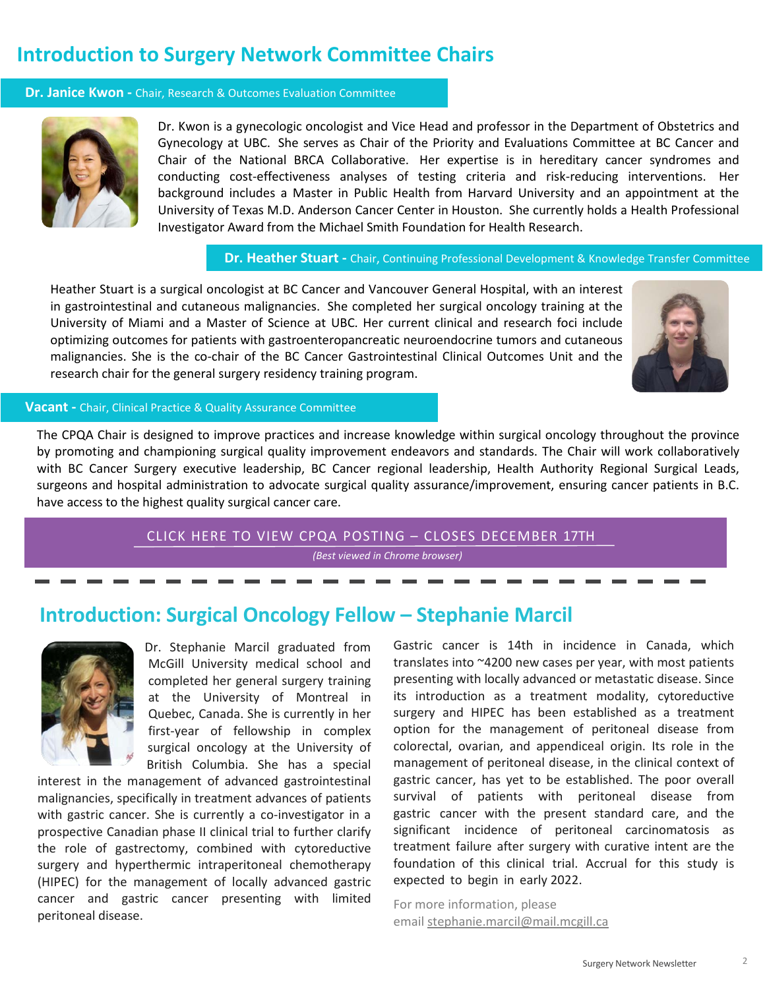### **Introduction to Surgery Network Committee Chairs**

#### **Dr. Janice Kwon -** Chair, Research & Outcomes Evaluation Committee



Dr. Kwon is a gynecologic oncologist and Vice Head and professor in the Department of Obstetrics and Gynecology at UBC. She serves as Chair of the Priority and Evaluations Committee at BC Cancer and Chair of the National BRCA Collaborative. Her expertise is in hereditary cancer syndromes and conducting cost-effectiveness analyses of testing criteria and risk-reducing interventions. Her background includes a Master in Public Health from Harvard University and an appointment at the University of Texas M.D. Anderson Cancer Center in Houston. She currently holds a Health Professional Investigator Award from the Michael Smith Foundation for Health Research.

 **Dr. Heather Stuart -** Chair, Continuing Professional Development & Knowledge Transfer Committee

Heather Stuart is a surgical oncologist at BC Cancer and Vancouver General Hospital, with an interest in gastrointestinal and cutaneous malignancies. She completed her surgical oncology training at the University of Miami and a Master of Science at UBC. Her current clinical and research foci include optimizing outcomes for patients with gastroenteropancreatic neuroendocrine tumors and cutaneous malignancies. She is the co-chair of the BC Cancer Gastrointestinal Clinical Outcomes Unit and the research chair for the general surgery residency training program.



#### **Vacant -** Chair, Clinical Practice & Quality Assurance Committee

The CPQA Chair is designed to improve practices and increase knowledge within surgical oncology throughout the province by promoting and championing surgical quality improvement endeavors and standards. The Chair will work collaboratively with BC Cancer Surgery executive leadership, BC Cancer regional leadership, Health Authority Regional Surgical Leads, surgeons and hospital administration to advocate surgical quality assurance/improvement, ensuring cancer patients in B.C. have access to the highest quality surgical cancer care.

> [CLICK HERE TO VIEW CPQA POSTING](https://jobs.phsa.ca/job/vancouver/chair-clinical-practice-and-quality-assurance-cpqa-committee-bc-cancer/909/17927676144) – CLOSES DECEMBER 17TH *(Best viewed in Chrome browser)*

### **Introduction: Surgical Oncology Fellow – Stephanie Marcil**



Dr. Stephanie Marcil graduated from McGill University medical school and completed her general surgery training at the University of Montreal in Quebec, Canada. She is currently in her first-year of fellowship in complex surgical oncology at the University of British Columbia. She has a special

interest in the management of advanced gastrointestinal malignancies, specifically in treatment advances of patients with gastric cancer. She is currently a co-investigator in a prospective Canadian phase II clinical trial to further clarify the role of gastrectomy, combined with cytoreductive surgery and hyperthermic intraperitoneal chemotherapy (HIPEC) for the management of locally advanced gastric cancer and gastric cancer presenting with limited peritoneal disease.

Gastric cancer is 14th in incidence in Canada, which translates into ~4200 new cases per year, with most patients presenting with locally advanced or metastatic disease. Since its introduction as a treatment modality, cytoreductive surgery and HIPEC has been established as a treatment option for the management of peritoneal disease from colorectal, ovarian, and appendiceal origin. Its role in the management of peritoneal disease, in the clinical context of gastric cancer, has yet to be established. The poor overall survival of patients with peritoneal disease from gastric cancer with the present standard care, and the significant incidence of peritoneal carcinomatosis as treatment failure after surgery with curative intent are the foundation of this clinical trial. Accrual for this study is expected to begin in early 2022.

For more information, please email [stephanie.marcil@mail.mcgill.ca](mailto:stephanie.marcil@mail.mcgill.ca)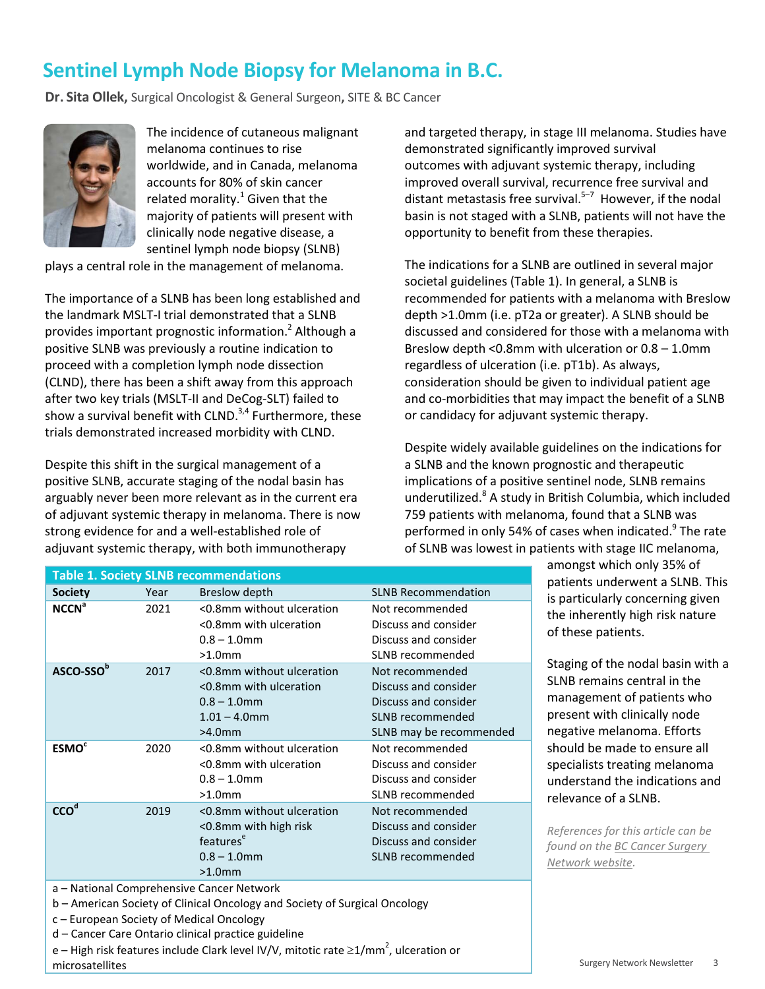## **Sentinel Lymph Node Biopsy for Melanoma in B.C.**

**Dr. Sita Ollek,** Surgical Oncologist & General Surgeon**,** SITE & BC Cancer



The incidence of cutaneous malignant melanoma continues to rise worldwide, and in Canada, melanoma accounts for 80% of skin cancer related morality. $1$  Given that the majority of patients will present with clinically node negative disease, a sentinel lymph node biopsy (SLNB)

plays a central role in the management of melanoma.

The importance of a SLNB has been long established and the landmark MSLT-I trial demonstrated that a SLNB provides important prognostic information.<sup>2</sup> Although a positive SLNB was previously a routine indication to proceed with a completion lymph node dissection (CLND), there has been a shift away from this approach after two key trials (MSLT-II and DeCog-SLT) failed to show a survival benefit with CLND. $3,4$  Furthermore, these trials demonstrated increased morbidity with CLND.

Despite this shift in the surgical management of a positive SLNB, accurate staging of the nodal basin has arguably never been more relevant as in the current era of adjuvant systemic therapy in melanoma. There is now strong evidence for and a well-established role of adjuvant systemic therapy, with both immunotherapy

and targeted therapy, in stage III melanoma. Studies have demonstrated significantly improved survival outcomes with adjuvant systemic therapy, including improved overall survival, recurrence free survival and distant metastasis free survival. $5-7$  However, if the nodal basin is not staged with a SLNB, patients will not have the opportunity to benefit from these therapies.

The indications for a SLNB are outlined in several major societal guidelines (Table 1). In general, a SLNB is recommended for patients with a melanoma with Breslow depth >1.0mm (i.e. pT2a or greater). A SLNB should be discussed and considered for those with a melanoma with Breslow depth <0.8mm with ulceration or 0.8 – 1.0mm regardless of ulceration (i.e. pT1b). As always, consideration should be given to individual patient age and co-morbidities that may impact the benefit of a SLNB or candidacy for adjuvant systemic therapy.

Despite widely available guidelines on the indications for a SLNB and the known prognostic and therapeutic implications of a positive sentinel node, SLNB remains underutilized.<sup>8</sup> A study in British Columbia, which included 759 patients with melanoma, found that a SLNB was performed in only 54% of cases when indicated.<sup>9</sup> The rate of SLNB was lowest in patients with stage IIC melanoma,

| <b>Table 1. Society SLNB recommendations</b>                                                                            |      |                                                                                                            |                                                                                                                |  |  |  |  |  |
|-------------------------------------------------------------------------------------------------------------------------|------|------------------------------------------------------------------------------------------------------------|----------------------------------------------------------------------------------------------------------------|--|--|--|--|--|
| <b>Society</b>                                                                                                          | Year | Breslow depth                                                                                              | <b>SLNB Recommendation</b>                                                                                     |  |  |  |  |  |
| <b>NCCN<sup>a</sup></b>                                                                                                 | 2021 | <0.8mm without ulceration<br><0.8mm with ulceration<br>$0.8 - 1.0$ mm<br>$>1.0$ mm                         | Not recommended<br>Discuss and consider<br>Discuss and consider<br>SLNB recommended                            |  |  |  |  |  |
| ASCO-SSO <sup>b</sup>                                                                                                   | 2017 | <0.8mm without ulceration<br><0.8mm with ulceration<br>$0.8 - 1.0$ mm<br>$1.01 - 4.0$ mm<br>$>4.0$ mm      | Not recommended<br>Discuss and consider<br>Discuss and consider<br>SLNB recommended<br>SLNB may be recommended |  |  |  |  |  |
| <b>ESMO<sup>c</sup></b>                                                                                                 | 2020 | <0.8mm without ulceration<br><0.8mm with ulceration<br>$0.8 - 1.0$ mm<br>$>1.0$ mm                         | Not recommended<br>Discuss and consider<br>Discuss and consider<br>SLNB recommended                            |  |  |  |  |  |
| CCO <sup>d</sup>                                                                                                        | 2019 | <0.8mm without ulceration<br><0.8mm with high risk<br>features <sup>e</sup><br>$0.8 - 1.0$ mm<br>$>1.0$ mm | Not recommended<br>Discuss and consider<br>Discuss and consider<br>SLNB recommended                            |  |  |  |  |  |
| a – National Comprehensive Cancer Network<br>b - American Society of Clinical Oncology and Society of Surgical Oncology |      |                                                                                                            |                                                                                                                |  |  |  |  |  |

c – European Society of Medical Oncology

d – Cancer Care Ontario clinical practice guideline

e – High risk features include Clark level IV/V, mitotic rate  $\geq$ 1/mm<sup>2</sup>, ulceration or microsatellites

amongst which only 35% of patients underwent a SLNB. This is particularly concerning given the inherently high risk nature of these patients.

Staging of the nodal basin with a SLNB remains central in the management of patients who present with clinically node negative melanoma. Efforts should be made to ensure all specialists treating melanoma understand the indications and relevance of a SLNB.

*References for this article can be found on the [BC Cancer Surgery](http://www.bccancer.bc.ca/health-professionals/networks/surgery-network/newsletter)  [Network website.](http://www.bccancer.bc.ca/health-professionals/networks/surgery-network/newsletter)*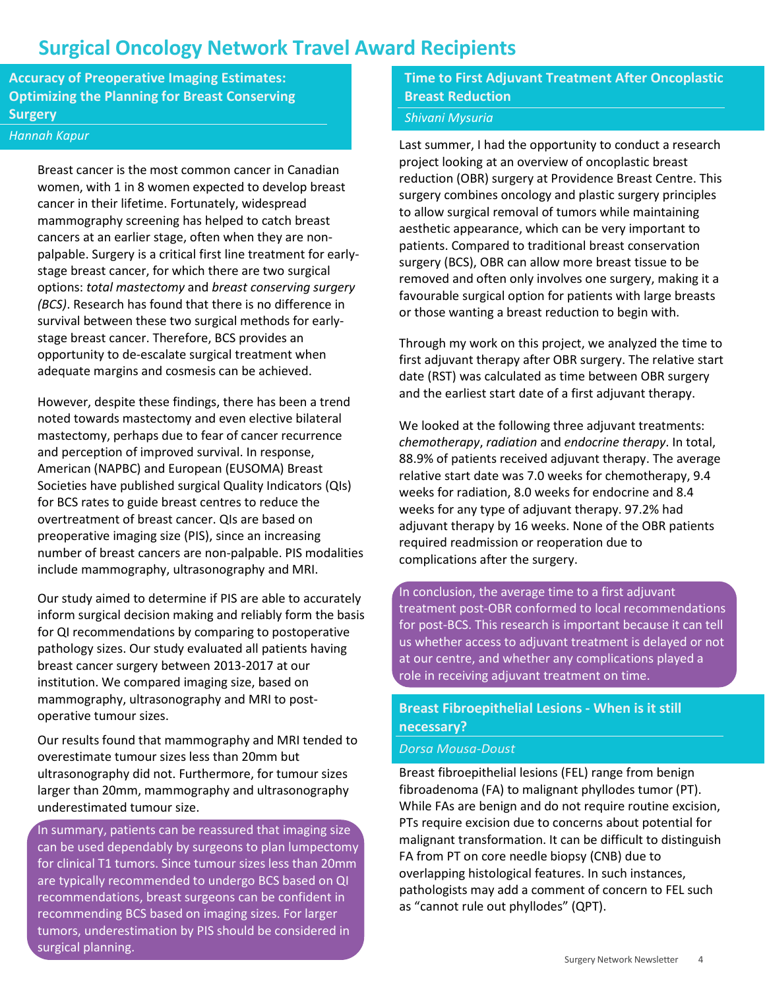### **Surgical Oncology Network Travel Award Recipients**

**Accuracy of Preoperative Imaging Estimates: Optimizing the Planning for Breast Conserving Surgery**

#### *Hannah Kapur*

Breast cancer is the most common cancer in Canadian women, with 1 in 8 women expected to develop breast cancer in their lifetime. Fortunately, widespread mammography screening has helped to catch breast cancers at an earlier stage, often when they are nonpalpable. Surgery is a critical first line treatment for earlystage breast cancer, for which there are two surgical options: *total mastectomy* and *breast conserving surgery (BCS)*. Research has found that there is no difference in survival between these two surgical methods for earlystage breast cancer. Therefore, BCS provides an opportunity to de-escalate surgical treatment when adequate margins and cosmesis can be achieved.

However, despite these findings, there has been a trend noted towards mastectomy and even elective bilateral mastectomy, perhaps due to fear of cancer recurrence and perception of improved survival. In response, American (NAPBC) and European (EUSOMA) Breast Societies have published surgical Quality Indicators (QIs) for BCS rates to guide breast centres to reduce the overtreatment of breast cancer. QIs are based on preoperative imaging size (PIS), since an increasing number of breast cancers are non-palpable. PIS modalities include mammography, ultrasonography and MRI.

Our study aimed to determine if PIS are able to accurately inform surgical decision making and reliably form the basis for QI recommendations by comparing to postoperative pathology sizes. Our study evaluated all patients having breast cancer surgery between 2013-2017 at our institution. We compared imaging size, based on mammography, ultrasonography and MRI to postoperative tumour sizes.

Our results found that mammography and MRI tended to overestimate tumour sizes less than 20mm but ultrasonography did not. Furthermore, for tumour sizes larger than 20mm, mammography and ultrasonography underestimated tumour size.

In summary, patients can be reassured that imaging size can be used dependably by surgeons to plan lumpectomy for clinical T1 tumors. Since tumour sizes less than 20mm are typically recommended to undergo BCS based on QI recommendations, breast surgeons can be confident in recommending BCS based on imaging sizes. For larger tumors, underestimation by PIS should be considered in surgical planning.

**Time to First Adjuvant Treatment After Oncoplastic Breast Reduction**

#### *Shivani Mysuria*

Last summer, I had the opportunity to conduct a research project looking at an overview of oncoplastic breast reduction (OBR) surgery at Providence Breast Centre. This surgery combines oncology and plastic surgery principles to allow surgical removal of tumors while maintaining aesthetic appearance, which can be very important to patients. Compared to traditional breast conservation surgery (BCS), OBR can allow more breast tissue to be removed and often only involves one surgery, making it a favourable surgical option for patients with large breasts or those wanting a breast reduction to begin with.

Through my work on this project, we analyzed the time to first adjuvant therapy after OBR surgery. The relative start date (RST) was calculated as time between OBR surgery and the earliest start date of a first adjuvant therapy.

We looked at the following three adjuvant treatments: *chemotherapy*, *radiation* and *endocrine therapy*. In total, 88.9% of patients received adjuvant therapy. The average relative start date was 7.0 weeks for chemotherapy, 9.4 weeks for radiation, 8.0 weeks for endocrine and 8.4 weeks for any type of adjuvant therapy. 97.2% had adjuvant therapy by 16 weeks. None of the OBR patients required readmission or reoperation due to complications after the surgery.

In conclusion, the average time to a first adjuvant treatment post-OBR conformed to local recommendations for post-BCS. This research is important because it can tell us whether access to adjuvant treatment is delayed or not at our centre, and whether any complications played a role in receiving adjuvant treatment on time.

#### **Breast Fibroepithelial Lesions - When is it still necessary?**

#### *Dorsa Mousa-Doust*

Breast fibroepithelial lesions (FEL) range from benign fibroadenoma (FA) to malignant phyllodes tumor (PT). While FAs are benign and do not require routine excision, PTs require excision due to concerns about potential for malignant transformation. It can be difficult to distinguish FA from PT on core needle biopsy (CNB) due to overlapping histological features. In such instances, pathologists may add a comment of concern to FEL such as "cannot rule out phyllodes" (QPT).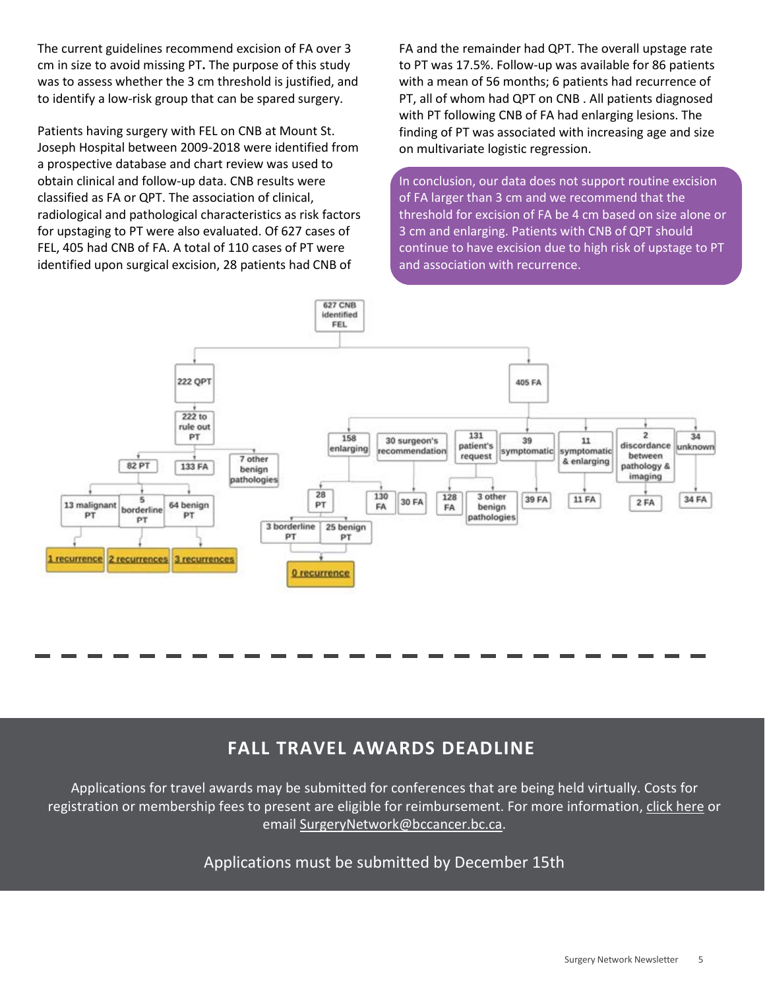The current guidelines recommend excision of FA over 3 cm in size to avoid missing PT**.** The purpose of this study was to assess whether the 3 cm threshold is justified, and to identify a low-risk group that can be spared surgery.

Patients having surgery with FEL on CNB at Mount St. Joseph Hospital between 2009-2018 were identified from a prospective database and chart review was used to obtain clinical and follow-up data. CNB results were classified as FA or QPT. The association of clinical, radiological and pathological characteristics as risk factors for upstaging to PT were also evaluated. Of 627 cases of FEL, 405 had CNB of FA. A total of 110 cases of PT were identified upon surgical excision, 28 patients had CNB of

FA and the remainder had QPT. The overall upstage rate to PT was 17.5%. Follow-up was available for 86 patients with a mean of 56 months; 6 patients had recurrence of PT, all of whom had QPT on CNB . All patients diagnosed with PT following CNB of FA had enlarging lesions. The finding of PT was associated with increasing age and size on multivariate logistic regression.

In conclusion, our data does not support routine excision of FA larger than 3 cm and we recommend that the threshold for excision of FA be 4 cm based on size alone or 3 cm and enlarging. Patients with CNB of QPT should continue to have excision due to high risk of upstage to PT and association with recurrence.



### **FALL TRAVEL AWARDS DEADLINE**

Applications for travel awards may be submitted for conferences that are being held virtually. Costs for registration or membership fees to present are eligible for reimbursement. For more information, [click here](http://www.bccancer.bc.ca/health-professionals/networks/surgery-network/surgeon-network-awards) or email [SurgeryNetwork@bccancer.bc.ca.](mailto:SurgeryNetwork@bccancer.bc.ca?subject=SON%20Travel%20Award)

Applications must be submitted by December 15th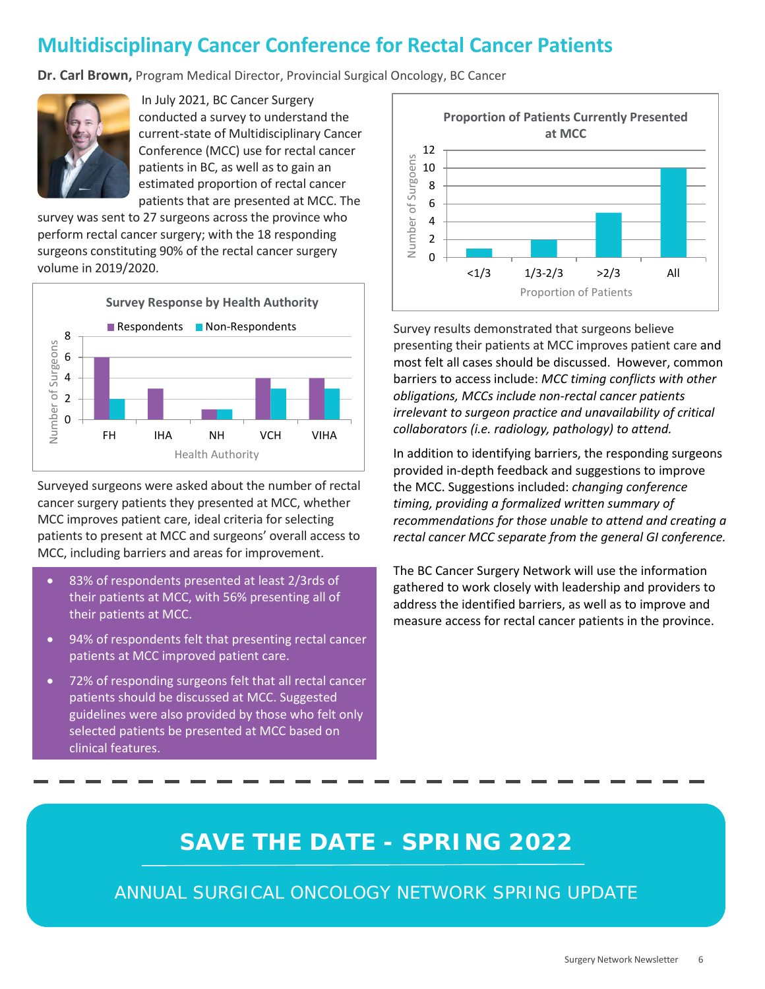## **Multidisciplinary Cancer Conference for Rectal Cancer Patients**

**Dr. Carl Brown,** Program Medical Director, Provincial Surgical Oncology, BC Cancer



 In July 2021, BC Cancer Surgery conducted a survey to understand the current-state of Multidisciplinary Cancer Conference (MCC) use for rectal cancer patients in BC, as well as to gain an estimated proportion of rectal cancer patients that are presented at MCC. The

survey was sent to 27 surgeons across the province who perform rectal cancer surgery; with the 18 responding surgeons constituting 90% of the rectal cancer surgery volume in 2019/2020.



Surveyed surgeons were asked about the number of rectal cancer surgery patients they presented at MCC, whether MCC improves patient care, ideal criteria for selecting patients to present at MCC and surgeons' overall access to MCC, including barriers and areas for improvement.

- 83% of respondents presented at least 2/3rds of their patients at MCC, with 56% presenting all of their patients at MCC.
- 94% of respondents felt that presenting rectal cancer patients at MCC improved patient care.
- 72% of responding surgeons felt that all rectal cancer patients should be discussed at MCC. Suggested guidelines were also provided by those who felt only selected patients be presented at MCC based on clinical features.



Survey results demonstrated that surgeons believe presenting their patients at MCC improves patient care and most felt all cases should be discussed. However, common barriers to access include: *MCC timing conflicts with other obligations, MCCs include non-rectal cancer patients irrelevant to surgeon practice and unavailability of critical collaborators (i.e. radiology, pathology) to attend.*

In addition to identifying barriers, the responding surgeons provided in-depth feedback and suggestions to improve the MCC. Suggestions included: *changing conference timing, providing a formalized written summary of recommendations for those unable to attend and creating a rectal cancer MCC separate from the general GI conference.*

The BC Cancer Surgery Network will use the information gathered to work closely with leadership and providers to address the identified barriers, as well as to improve and measure access for rectal cancer patients in the province.

# **SAVE THE DATE - SPRING 2022**

ANNUAL SURGICAL ONCOLOGY NETWORK SPRING UPDATE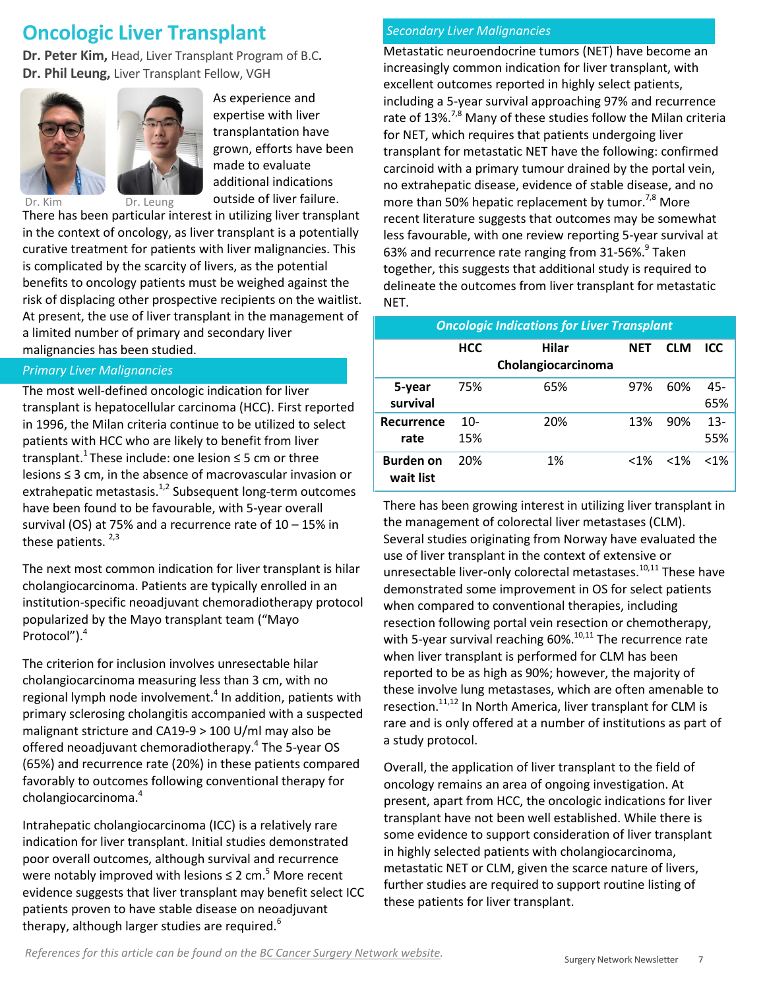### **Oncologic Liver Transplant**

**Dr. Peter Kim,** Head, Liver Transplant Program of B.C**. Dr. Phil Leung,** Liver Transplant Fellow, VGH



As experience and expertise with liver transplantation have grown, efforts have been made to evaluate additional indications outside of liver failure.

Dr. Kim Dr. Leung

There has been particular interest in utilizing liver transplant in the context of oncology, as liver transplant is a potentially curative treatment for patients with liver malignancies. This is complicated by the scarcity of livers, as the potential benefits to oncology patients must be weighed against the risk of displacing other prospective recipients on the waitlist. At present, the use of liver transplant in the management of a limited number of primary and secondary liver malignancies has been studied.

#### *Primary Liver Malignancies*

The most well-defined oncologic indication for liver transplant is hepatocellular carcinoma (HCC). First reported in 1996, the Milan criteria continue to be utilized to select patients with HCC who are likely to benefit from liver transplant.<sup>1</sup> These include: one lesion  $\leq$  5 cm or three lesions ≤ 3 cm, in the absence of macrovascular invasion or extrahepatic metastasis.<sup>1,2</sup> Subsequent long-term outcomes have been found to be favourable, with 5-year overall survival (OS) at 75% and a recurrence rate of 10 – 15% in these patients.  $2,3$ 

The next most common indication for liver transplant is hilar cholangiocarcinoma. Patients are typically enrolled in an institution-specific neoadjuvant chemoradiotherapy protocol popularized by the Mayo transplant team ("Mayo Protocol").4

The criterion for inclusion involves unresectable hilar cholangiocarcinoma measuring less than 3 cm, with no regional lymph node involvement. $4$  In addition, patients with primary sclerosing cholangitis accompanied with a suspected malignant stricture and CA19-9 > 100 U/ml may also be offered neoadjuvant chemoradiotherapy.<sup>4</sup> The 5-year OS (65%) and recurrence rate (20%) in these patients compared favorably to outcomes following conventional therapy for cholangiocarcinoma.4

Intrahepatic cholangiocarcinoma (ICC) is a relatively rare indication for liver transplant. Initial studies demonstrated poor overall outcomes, although survival and recurrence were notably improved with lesions  $\leq 2$  cm.<sup>5</sup> More recent evidence suggests that liver transplant may benefit select ICC patients proven to have stable disease on neoadjuvant therapy, although larger studies are required. $6$ 

#### *Secondary Liver Malignancies*

Metastatic neuroendocrine tumors (NET) have become an increasingly common indication for liver transplant, with excellent outcomes reported in highly select patients, including a 5-year survival approaching 97% and recurrence rate of 13%.<sup>7,8</sup> Many of these studies follow the Milan criteria for NET, which requires that patients undergoing liver transplant for metastatic NET have the following: confirmed carcinoid with a primary tumour drained by the portal vein, no extrahepatic disease, evidence of stable disease, and no more than 50% hepatic replacement by tumor. $7,8$  More recent literature suggests that outcomes may be somewhat less favourable, with one review reporting 5-year survival at 63% and recurrence rate ranging from 31-56%.<sup>9</sup> Taken together, this suggests that additional study is required to delineate the outcomes from liver transplant for metastatic NET.

| <b>Oncologic Indications for Liver Transplant</b> |              |                             |            |            |               |  |  |  |
|---------------------------------------------------|--------------|-----------------------------|------------|------------|---------------|--|--|--|
|                                                   | <b>HCC</b>   | Hilar<br>Cholangiocarcinoma | <b>NFT</b> | <b>CLM</b> | ICC           |  |  |  |
| 5-year<br>survival                                | 75%          | 65%                         | 97%        | 60%        | $45 -$<br>65% |  |  |  |
| Recurrence<br>rate                                | $10-$<br>15% | 20%                         | 13%        | 90%        | $13 -$<br>55% |  |  |  |
| <b>Burden on</b><br>wait list                     | 20%          | 1%                          | $< 1\%$    | $< 1\%$    | < 1%          |  |  |  |

There has been growing interest in utilizing liver transplant in the management of colorectal liver metastases (CLM). Several studies originating from Norway have evaluated the use of liver transplant in the context of extensive or unresectable liver-only colorectal metastases.<sup>10,11</sup> These have demonstrated some improvement in OS for select patients when compared to conventional therapies, including resection following portal vein resection or chemotherapy, with 5-year survival reaching  $60\%$ .<sup>10,11</sup> The recurrence rate when liver transplant is performed for CLM has been reported to be as high as 90%; however, the majority of these involve lung metastases, which are often amenable to resection.11,12 In North America, liver transplant for CLM is rare and is only offered at a number of institutions as part of a study protocol.

Overall, the application of liver transplant to the field of oncology remains an area of ongoing investigation. At present, apart from HCC, the oncologic indications for liver transplant have not been well established. While there is some evidence to support consideration of liver transplant in highly selected patients with cholangiocarcinoma, metastatic NET or CLM, given the scarce nature of livers, further studies are required to support routine listing of these patients for liver transplant.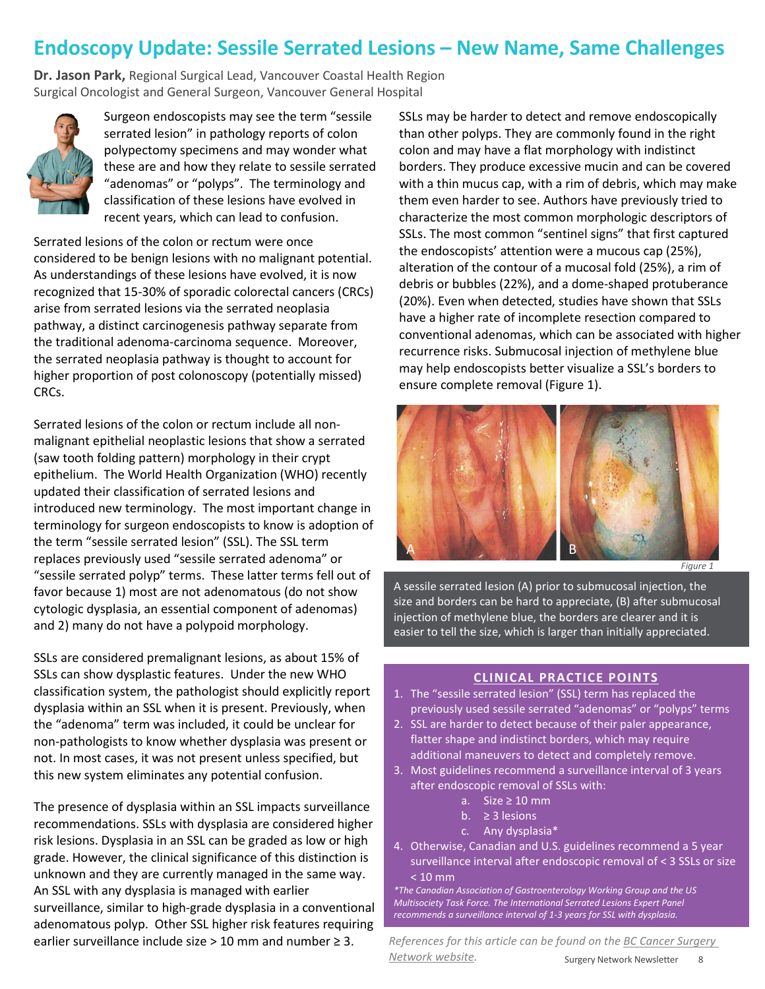### **Endoscopy Update: Sessile Serrated Lesions – New Name, Same Challenges**

**Dr. Jason Park,** Regional Surgical Lead, Vancouver Coastal Health Region Surgical Oncologist and General Surgeon, Vancouver General Hospital



Surgeon endoscopists may see the term "sessile serrated lesion" in pathology reports of colon polypectomy specimens and may wonder what these are and how they relate to sessile serrated "adenomas" or "polyps". The terminology and classification of these lesions have evolved in recent years, which can lead to confusion.

Serrated lesions of the colon or rectum were once considered to be benign lesions with no malignant potential. As understandings of these lesions have evolved, it is now recognized that 15-30% of sporadic colorectal cancers (CRCs) arise from serrated lesions via the serrated neoplasia pathway, a distinct carcinogenesis pathway separate from the traditional adenoma-carcinoma sequence. Moreover, the serrated neoplasia pathway is thought to account for higher proportion of post colonoscopy (potentially missed) CRCs.

Serrated lesions of the colon or rectum include all nonmalignant epithelial neoplastic lesions that show a serrated (saw tooth folding pattern) morphology in their crypt epithelium. The World Health Organization (WHO) recently updated their classification of serrated lesions and introduced new terminology. The most important change in terminology for surgeon endoscopists to know is adoption of the term "sessile serrated lesion" (SSL). The SSL term replaces previously used "sessile serrated adenoma" or "sessile serrated polyp" terms. These latter terms fell out of favor because 1) most are not adenomatous (do not show cytologic dysplasia, an essential component of adenomas) and 2) many do not have a polypoid morphology.

SSLs are considered premalignant lesions, as about 15% of SSLs can show dysplastic features. Under the new WHO classification system, the pathologist should explicitly report dysplasia within an SSL when it is present. Previously, when the "adenoma" term was included, it could be unclear for non-pathologists to know whether dysplasia was present or not. In most cases, it was not present unless specified, but this new system eliminates any potential confusion.

The presence of dysplasia within an SSL impacts surveillance recommendations. SSLs with dysplasia are considered higher risk lesions. Dysplasia in an SSL can be graded as low or high grade. However, the clinical significance of this distinction is unknown and they are currently managed in the same way. An SSL with any dysplasia is managed with earlier surveillance, similar to high-grade dysplasia in a conventional adenomatous polyp. Other SSL higher risk features requiring earlier surveillance include size > 10 mm and number  $\geq$  3.

SSLs may be harder to detect and remove endoscopically than other polyps. They are commonly found in the right colon and may have a flat morphology with indistinct borders. They produce excessive mucin and can be covered with a thin mucus cap, with a rim of debris, which may make them even harder to see. Authors have previously tried to characterize the most common morphologic descriptors of SSLs. The most common "sentinel signs" that first captured the endoscopists' attention were a mucous cap (25%), alteration of the contour of a mucosal fold (25%), a rim of debris or bubbles (22%), and a dome-shaped protuberance (20%). Even when detected, studies have shown that SSLs have a higher rate of incomplete resection compared to conventional adenomas, which can be associated with higher recurrence risks. Submucosal injection of methylene blue may help endoscopists better visualize a SSL's borders to ensure complete removal (Figure 1).



A sessile serrated lesion (A) prior to submucosal injection, the size and borders can be hard to appreciate, (B) after submucosal injection of methylene blue, the borders are clearer and it is easier to tell the size, which is larger than initially appreciated.

#### **CLINICAL PRACTICE POINTS**

- 1. The "sessile serrated lesion" (SSL) term has replaced the previously used sessile serrated "adenomas" or "polyps" terms
- 2. SSL are harder to detect because of their paler appearance, flatter shape and indistinct borders, which may require additional maneuvers to detect and completely remove.
- 3. Most guidelines recommend a surveillance interval of 3 years after endoscopic removal of SSLs with:
	- a. Size  $\geq 10$  mm
	- b.  $\geq$  3 lesions
	- c. Any dysplasia\*
- 4. Otherwise, Canadian and U.S. guidelines recommend a 5 year surveillance interval after endoscopic removal of < 3 SSLs or size < 10 mm

*\*The Canadian Association of Gastroenterology Working Group and the US Multisociety Task Force. The International Serrated Lesions Expert Panel recommends a surveillance interval of 1-3 years for SSL with dysplasia.*

Surgery Network Newsletter 8 *References for this article can be found on the [BC Cancer Surgery](http://www.bccancer.bc.ca/health-professionals/networks/surgery-network/newsletter)  [Network website.](http://www.bccancer.bc.ca/health-professionals/networks/surgery-network/newsletter)*